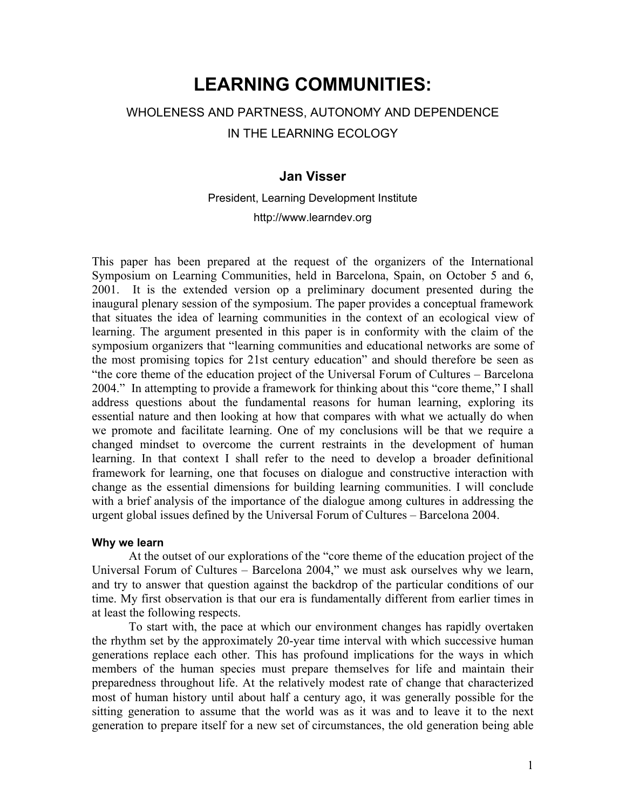# **LEARNING COMMUNITIES:**

## WHOLENESS AND PARTNESS, AUTONOMY AND DEPENDENCE IN THE LEARNING ECOLOGY

### **Jan Visser**

President, Learning Development Institute http://www.learndev.org

This paper has been prepared at the request of the organizers of the International Symposium on Learning Communities, held in Barcelona, Spain, on October 5 and 6, 2001. It is the extended version op a preliminary document presented during the inaugural plenary session of the symposium. The paper provides a conceptual framework that situates the idea of learning communities in the context of an ecological view of learning. The argument presented in this paper is in conformity with the claim of the symposium organizers that "learning communities and educational networks are some of the most promising topics for 21st century education" and should therefore be seen as "the core theme of the education project of the Universal Forum of Cultures – Barcelona 2004." In attempting to provide a framework for thinking about this "core theme," I shall address questions about the fundamental reasons for human learning, exploring its essential nature and then looking at how that compares with what we actually do when we promote and facilitate learning. One of my conclusions will be that we require a changed mindset to overcome the current restraints in the development of human learning. In that context I shall refer to the need to develop a broader definitional framework for learning, one that focuses on dialogue and constructive interaction with change as the essential dimensions for building learning communities. I will conclude with a brief analysis of the importance of the dialogue among cultures in addressing the urgent global issues defined by the Universal Forum of Cultures – Barcelona 2004.

#### **Why we learn**

At the outset of our explorations of the "core theme of the education project of the Universal Forum of Cultures – Barcelona 2004," we must ask ourselves why we learn, and try to answer that question against the backdrop of the particular conditions of our time. My first observation is that our era is fundamentally different from earlier times in at least the following respects.

To start with, the pace at which our environment changes has rapidly overtaken the rhythm set by the approximately 20-year time interval with which successive human generations replace each other. This has profound implications for the ways in which members of the human species must prepare themselves for life and maintain their preparedness throughout life. At the relatively modest rate of change that characterized most of human history until about half a century ago, it was generally possible for the sitting generation to assume that the world was as it was and to leave it to the next generation to prepare itself for a new set of circumstances, the old generation being able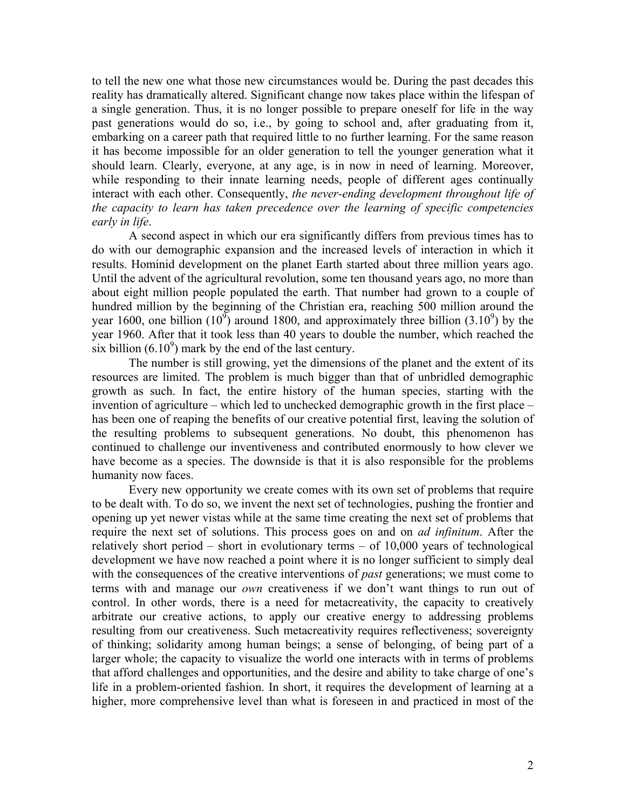to tell the new one what those new circumstances would be. During the past decades this reality has dramatically altered. Significant change now takes place within the lifespan of a single generation. Thus, it is no longer possible to prepare oneself for life in the way past generations would do so, i.e., by going to school and, after graduating from it, embarking on a career path that required little to no further learning. For the same reason it has become impossible for an older generation to tell the younger generation what it should learn. Clearly, everyone, at any age, is in now in need of learning. Moreover, while responding to their innate learning needs, people of different ages continually interact with each other. Consequently, *the never-ending development throughout life of the capacity to learn has taken precedence over the learning of specific competencies early in life*.

A second aspect in which our era significantly differs from previous times has to do with our demographic expansion and the increased levels of interaction in which it results. Hominid development on the planet Earth started about three million years ago. Until the advent of the agricultural revolution, some ten thousand years ago, no more than about eight million people populated the earth. That number had grown to a couple of hundred million by the beginning of the Christian era, reaching 500 million around the year 1600, one billion  $(10^9)$  around 1800, and approximately three billion  $(3.10^9)$  by the year 1960. After that it took less than 40 years to double the number, which reached the six billion  $(6.10^9)$  mark by the end of the last century.

The number is still growing, yet the dimensions of the planet and the extent of its resources are limited. The problem is much bigger than that of unbridled demographic growth as such. In fact, the entire history of the human species, starting with the invention of agriculture – which led to unchecked demographic growth in the first place – has been one of reaping the benefits of our creative potential first, leaving the solution of the resulting problems to subsequent generations. No doubt, this phenomenon has continued to challenge our inventiveness and contributed enormously to how clever we have become as a species. The downside is that it is also responsible for the problems humanity now faces.

Every new opportunity we create comes with its own set of problems that require to be dealt with. To do so, we invent the next set of technologies, pushing the frontier and opening up yet newer vistas while at the same time creating the next set of problems that require the next set of solutions. This process goes on and on *ad infinitum*. After the relatively short period – short in evolutionary terms – of 10,000 years of technological development we have now reached a point where it is no longer sufficient to simply deal with the consequences of the creative interventions of *past* generations; we must come to terms with and manage our *own* creativeness if we don't want things to run out of control. In other words, there is a need for metacreativity, the capacity to creatively arbitrate our creative actions, to apply our creative energy to addressing problems resulting from our creativeness. Such metacreativity requires reflectiveness; sovereignty of thinking; solidarity among human beings; a sense of belonging, of being part of a larger whole; the capacity to visualize the world one interacts with in terms of problems that afford challenges and opportunities, and the desire and ability to take charge of one's life in a problem-oriented fashion. In short, it requires the development of learning at a higher, more comprehensive level than what is foreseen in and practiced in most of the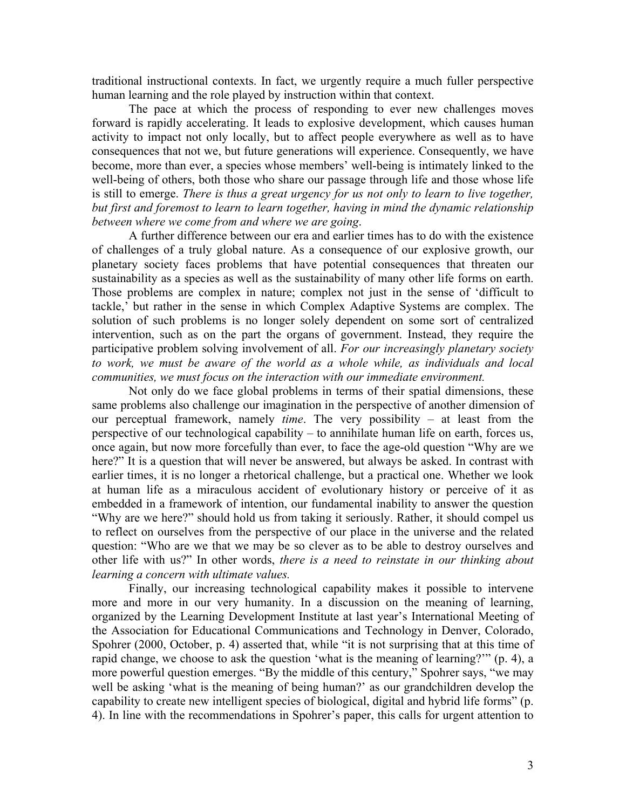traditional instructional contexts. In fact, we urgently require a much fuller perspective human learning and the role played by instruction within that context.

The pace at which the process of responding to ever new challenges moves forward is rapidly accelerating. It leads to explosive development, which causes human activity to impact not only locally, but to affect people everywhere as well as to have consequences that not we, but future generations will experience. Consequently, we have become, more than ever, a species whose members' well-being is intimately linked to the well-being of others, both those who share our passage through life and those whose life is still to emerge. *There is thus a great urgency for us not only to learn to live together, but first and foremost to learn to learn together, having in mind the dynamic relationship between where we come from and where we are going*.

A further difference between our era and earlier times has to do with the existence of challenges of a truly global nature. As a consequence of our explosive growth, our planetary society faces problems that have potential consequences that threaten our sustainability as a species as well as the sustainability of many other life forms on earth. Those problems are complex in nature; complex not just in the sense of 'difficult to tackle,' but rather in the sense in which Complex Adaptive Systems are complex. The solution of such problems is no longer solely dependent on some sort of centralized intervention, such as on the part the organs of government. Instead, they require the participative problem solving involvement of all. *For our increasingly planetary society*  to work, we must be aware of the world as a whole while, as individuals and local *communities, we must focus on the interaction with our immediate environment.*

Not only do we face global problems in terms of their spatial dimensions, these same problems also challenge our imagination in the perspective of another dimension of our perceptual framework, namely *time*. The very possibility – at least from the perspective of our technological capability – to annihilate human life on earth, forces us, once again, but now more forcefully than ever, to face the age-old question "Why are we here?" It is a question that will never be answered, but always be asked. In contrast with earlier times, it is no longer a rhetorical challenge, but a practical one. Whether we look at human life as a miraculous accident of evolutionary history or perceive of it as embedded in a framework of intention, our fundamental inability to answer the question "Why are we here?" should hold us from taking it seriously. Rather, it should compel us to reflect on ourselves from the perspective of our place in the universe and the related question: "Who are we that we may be so clever as to be able to destroy ourselves and other life with us?" In other words, *there is a need to reinstate in our thinking about learning a concern with ultimate values.*

Finally, our increasing technological capability makes it possible to intervene more and more in our very humanity. In a discussion on the meaning of learning, organized by the Learning Development Institute at last year's International Meeting of the Association for Educational Communications and Technology in Denver, Colorado, Spohrer (2000, October, p. 4) asserted that, while "it is not surprising that at this time of rapid change, we choose to ask the question 'what is the meaning of learning?'" (p. 4), a more powerful question emerges. "By the middle of this century," Spohrer says, "we may well be asking 'what is the meaning of being human?' as our grandchildren develop the capability to create new intelligent species of biological, digital and hybrid life forms" (p. 4). In line with the recommendations in Spohrer's paper, this calls for urgent attention to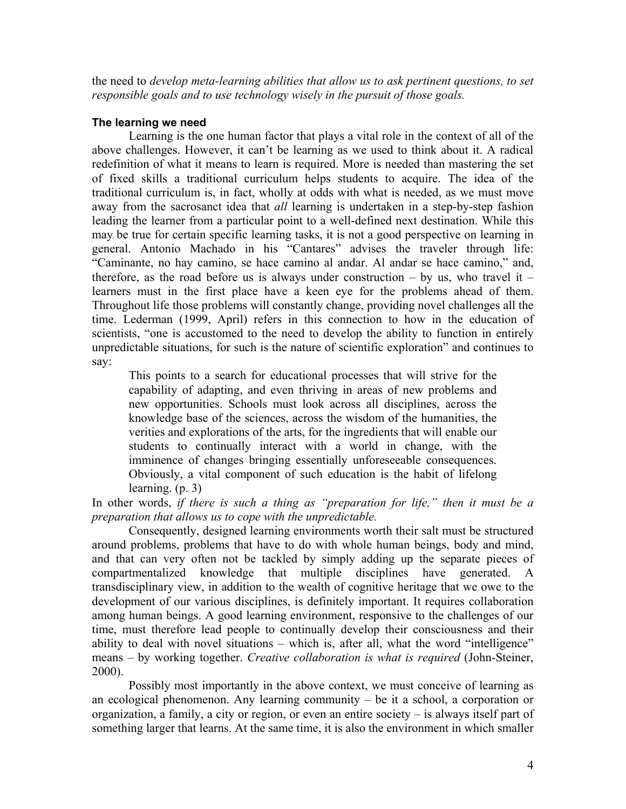the need to *develop meta-learning abilities that allow us to ask pertinent questions, to set responsible goals and to use technology wisely in the pursuit of those goals.*

#### **The learning we need**

Learning is the one human factor that plays a vital role in the context of all of the above challenges. However, it can't be learning as we used to think about it. A radical redefinition of what it means to learn is required. More is needed than mastering the set of fixed skills a traditional curriculum helps students to acquire. The idea of the traditional curriculum is, in fact, wholly at odds with what is needed, as we must move away from the sacrosanct idea that *all* learning is undertaken in a step-by-step fashion leading the learner from a particular point to a well-defined next destination. While this may be true for certain specific learning tasks, it is not a good perspective on learning in general. Antonio Machado in his "Cantares" advises the traveler through life: "Caminante, no hay camino, se hace camino al andar. Al andar se hace camino," and, therefore, as the road before us is always under construction – by us, who travel it – learners must in the first place have a keen eye for the problems ahead of them. Throughout life those problems will constantly change, providing novel challenges all the time. Lederman (1999, April) refers in this connection to how in the education of scientists, "one is accustomed to the need to develop the ability to function in entirely unpredictable situations, for such is the nature of scientific exploration" and continues to say:

This points to a search for educational processes that will strive for the capability of adapting, and even thriving in areas of new problems and new opportunities. Schools must look across all disciplines, across the knowledge base of the sciences, across the wisdom of the humanities, the verities and explorations of the arts, for the ingredients that will enable our students to continually interact with a world in change, with the imminence of changes bringing essentially unforeseeable consequences. Obviously, a vital component of such education is the habit of lifelong learning. (p. 3)

In other words, *if there is such a thing as "preparation for life," then it must be a preparation that allows us to cope with the unpredictable.*

Consequently, designed learning environments worth their salt must be structured around problems, problems that have to do with whole human beings, body and mind, and that can very often not be tackled by simply adding up the separate pieces of compartmentalized knowledge that multiple disciplines have generated. A transdisciplinary view, in addition to the wealth of cognitive heritage that we owe to the development of our various disciplines, is definitely important. It requires collaboration among human beings. A good learning environment, responsive to the challenges of our time, must therefore lead people to continually develop their consciousness and their ability to deal with novel situations – which is, after all, what the word "intelligence" means – by working together. *Creative collaboration is what is required* (John-Steiner, 2000).

Possibly most importantly in the above context, we must conceive of learning as an ecological phenomenon. Any learning community – be it a school, a corporation or organization, a family, a city or region, or even an entire society – is always itself part of something larger that learns. At the same time, it is also the environment in which smaller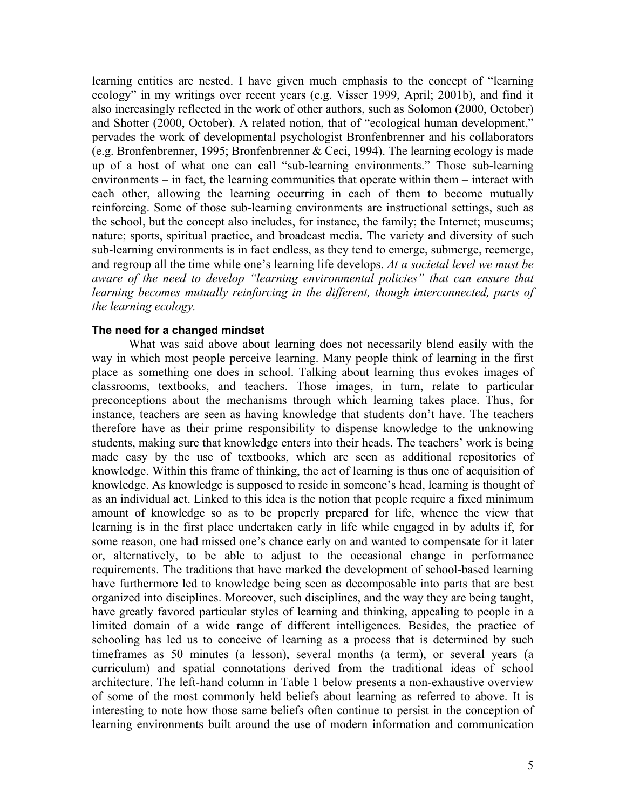learning entities are nested. I have given much emphasis to the concept of "learning ecology" in my writings over recent years (e.g. Visser 1999, April; 2001b), and find it also increasingly reflected in the work of other authors, such as Solomon (2000, October) and Shotter (2000, October). A related notion, that of "ecological human development," pervades the work of developmental psychologist Bronfenbrenner and his collaborators (e.g. Bronfenbrenner, 1995; Bronfenbrenner & Ceci, 1994). The learning ecology is made up of a host of what one can call "sub-learning environments." Those sub-learning environments – in fact, the learning communities that operate within them – interact with each other, allowing the learning occurring in each of them to become mutually reinforcing. Some of those sub-learning environments are instructional settings, such as the school, but the concept also includes, for instance, the family; the Internet; museums; nature; sports, spiritual practice, and broadcast media. The variety and diversity of such sub-learning environments is in fact endless, as they tend to emerge, submerge, reemerge, and regroup all the time while one's learning life develops. *At a societal level we must be aware of the need to develop "learning environmental policies" that can ensure that learning becomes mutually reinforcing in the different, though interconnected, parts of the learning ecology.*

#### **The need for a changed mindset**

What was said above about learning does not necessarily blend easily with the way in which most people perceive learning. Many people think of learning in the first place as something one does in school. Talking about learning thus evokes images of classrooms, textbooks, and teachers. Those images, in turn, relate to particular preconceptions about the mechanisms through which learning takes place. Thus, for instance, teachers are seen as having knowledge that students don't have. The teachers therefore have as their prime responsibility to dispense knowledge to the unknowing students, making sure that knowledge enters into their heads. The teachers' work is being made easy by the use of textbooks, which are seen as additional repositories of knowledge. Within this frame of thinking, the act of learning is thus one of acquisition of knowledge. As knowledge is supposed to reside in someone's head, learning is thought of as an individual act. Linked to this idea is the notion that people require a fixed minimum amount of knowledge so as to be properly prepared for life, whence the view that learning is in the first place undertaken early in life while engaged in by adults if, for some reason, one had missed one's chance early on and wanted to compensate for it later or, alternatively, to be able to adjust to the occasional change in performance requirements. The traditions that have marked the development of school-based learning have furthermore led to knowledge being seen as decomposable into parts that are best organized into disciplines. Moreover, such disciplines, and the way they are being taught, have greatly favored particular styles of learning and thinking, appealing to people in a limited domain of a wide range of different intelligences. Besides, the practice of schooling has led us to conceive of learning as a process that is determined by such timeframes as 50 minutes (a lesson), several months (a term), or several years (a curriculum) and spatial connotations derived from the traditional ideas of school architecture. The left-hand column in Table 1 below presents a non-exhaustive overview of some of the most commonly held beliefs about learning as referred to above. It is interesting to note how those same beliefs often continue to persist in the conception of learning environments built around the use of modern information and communication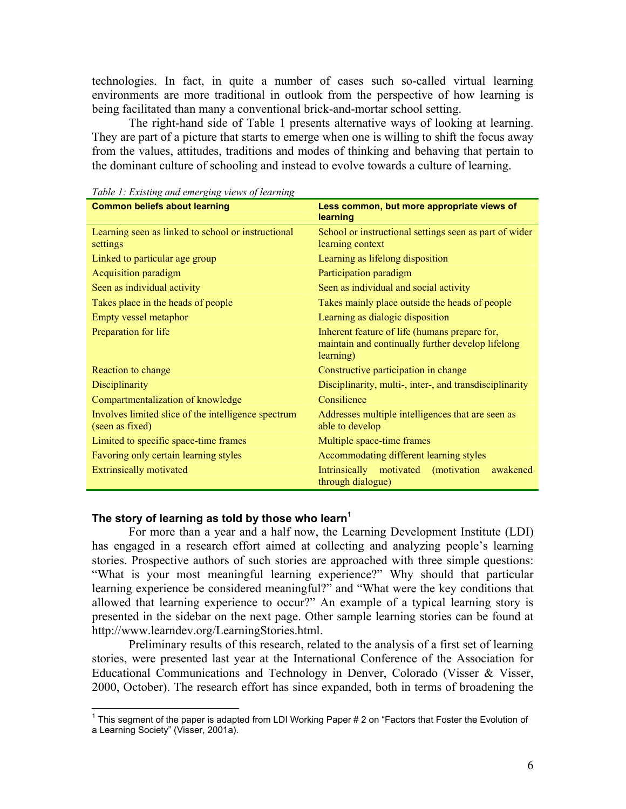technologies. In fact, in quite a number of cases such so-called virtual learning environments are more traditional in outlook from the perspective of how learning is being facilitated than many a conventional brick-and-mortar school setting.

 The right-hand side of Table 1 presents alternative ways of looking at learning. They are part of a picture that starts to emerge when one is willing to shift the focus away from the values, attitudes, traditions and modes of thinking and behaving that pertain to the dominant culture of schooling and instead to evolve towards a culture of learning.

| <b>Common beliefs about learning</b>                                   | Less common, but more appropriate views of<br>learning                                                          |
|------------------------------------------------------------------------|-----------------------------------------------------------------------------------------------------------------|
| Learning seen as linked to school or instructional<br>settings         | School or instructional settings seen as part of wider<br>learning context                                      |
| Linked to particular age group                                         | Learning as lifelong disposition                                                                                |
| <b>Acquisition paradigm</b>                                            | Participation paradigm                                                                                          |
| Seen as individual activity                                            | Seen as individual and social activity                                                                          |
| Takes place in the heads of people                                     | Takes mainly place outside the heads of people                                                                  |
| Empty vessel metaphor                                                  | Learning as dialogic disposition                                                                                |
| Preparation for life                                                   | Inherent feature of life (humans prepare for,<br>maintain and continually further develop lifelong<br>learning) |
| Reaction to change                                                     | Constructive participation in change                                                                            |
| Disciplinarity                                                         | Disciplinarity, multi-, inter-, and transdisciplinarity                                                         |
| Compartmentalization of knowledge                                      | Consilience                                                                                                     |
| Involves limited slice of the intelligence spectrum<br>(seen as fixed) | Addresses multiple intelligences that are seen as<br>able to develop                                            |
| Limited to specific space-time frames                                  | Multiple space-time frames                                                                                      |
| Favoring only certain learning styles                                  | Accommodating different learning styles                                                                         |
| <b>Extrinsically motivated</b>                                         | Intrinsically motivated (motivation<br>awakened<br>through dialogue)                                            |

*Table 1: Existing and emerging views of learning* 

#### The story of learning as told by those who learn<sup>1</sup>

 $\overline{a}$ 

For more than a year and a half now, the Learning Development Institute (LDI) has engaged in a research effort aimed at collecting and analyzing people's learning stories. Prospective authors of such stories are approached with three simple questions: "What is your most meaningful learning experience?" Why should that particular learning experience be considered meaningful?" and "What were the key conditions that allowed that learning experience to occur?" An example of a typical learning story is presented in the sidebar on the next page. Other sample learning stories can be found at http://www.learndev.org/LearningStories.html.

Preliminary results of this research, related to the analysis of a first set of learning stories, were presented last year at the International Conference of the Association for Educational Communications and Technology in Denver, Colorado (Visser & Visser, 2000, October). The research effort has since expanded, both in terms of broadening the

<sup>&</sup>lt;sup>1</sup> This segment of the paper is adapted from LDI Working Paper # 2 on "Factors that Foster the Evolution of a Learning Society" (Visser, 2001a).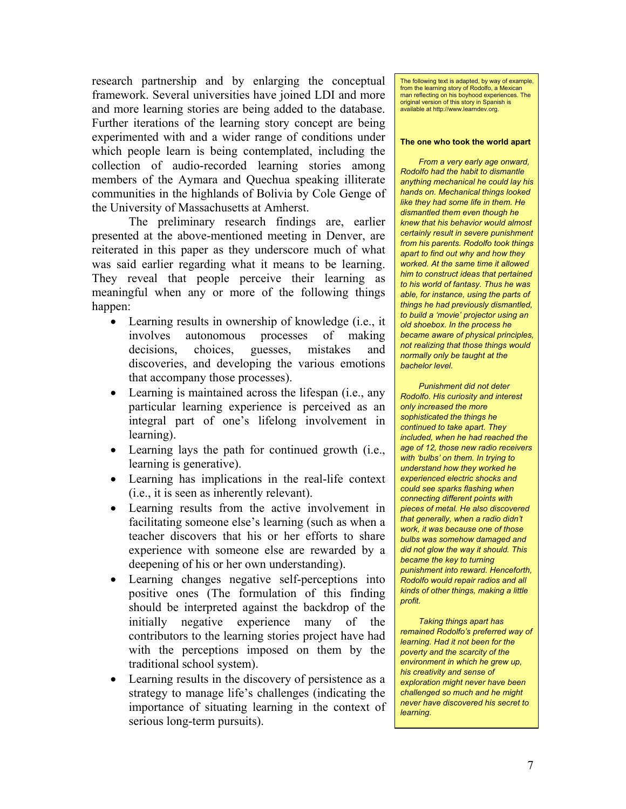research partnership and by enlarging the conceptual framework. Several universities have joined LDI and more and more learning stories are being added to the database. Further iterations of the learning story concept are being experimented with and a wider range of conditions under which people learn is being contemplated, including the collection of audio-recorded learning stories among members of the Aymara and Quechua speaking illiterate communities in the highlands of Bolivia by Cole Genge of the University of Massachusetts at Amherst.

The preliminary research findings are, earlier presented at the above-mentioned meeting in Denver, are reiterated in this paper as they underscore much of what was said earlier regarding what it means to be learning. They reveal that people perceive their learning as meaningful when any or more of the following things happen:

- Learning results in ownership of knowledge (i.e., it involves autonomous processes of making decisions, choices, guesses, mistakes and discoveries, and developing the various emotions that accompany those processes).
- Learning is maintained across the lifespan (i.e., any particular learning experience is perceived as an integral part of one's lifelong involvement in learning).
- Learning lays the path for continued growth (i.e., learning is generative).
- Learning has implications in the real-life context (i.e., it is seen as inherently relevant).
- Learning results from the active involvement in facilitating someone else's learning (such as when a teacher discovers that his or her efforts to share experience with someone else are rewarded by a deepening of his or her own understanding).
- Learning changes negative self-perceptions into positive ones (The formulation of this finding should be interpreted against the backdrop of the initially negative experience many of the contributors to the learning stories project have had with the perceptions imposed on them by the traditional school system).
- Learning results in the discovery of persistence as a strategy to manage life's challenges (indicating the importance of situating learning in the context of serious long-term pursuits).

The following text is adapted, by way of example, from the learning story of Rodolfo, a Mexican man reflecting on his boyhood experiences. The original version of this story in Spanish is available at http://www.learndev.org.

#### **The one who took the world apart**

*From a very early age onward, Rodolfo had the habit to dismantle anything mechanical he could lay his hands on. Mechanical things looked like they had some life in them. He dismantled them even though he knew that his behavior would almost certainly result in severe punishment from his parents. Rodolfo took things apart to find out why and how they worked. At the same time it allowed him to construct ideas that pertained to his world of fantasy. Thus he was able, for instance, using the parts of things he had previously dismantled, to build a 'movie' projector using an old shoebox. In the process he became aware of physical principles, not realizing that those things would normally only be taught at the bachelor level.* 

*Punishment did not deter Rodolfo. His curiosity and interest only increased the more sophisticated the things he continued to take apart. They included, when he had reached the age of 12, those new radio receivers with 'bulbs' on them. In trying to understand how they worked he experienced electric shocks and could see sparks flashing when connecting different points with pieces of metal. He also discovered that generally, when a radio didn't work, it was because one of those bulbs was somehow damaged and did not glow the way it should. This became the key to turning punishment into reward. Henceforth, Rodolfo would repair radios and all kinds of other things, making a little profit.* 

*Taking things apart has remained Rodolfo's preferred way of learning. Had it not been for the poverty and the scarcity of the environment in which he grew up, his creativity and sense of exploration might never have been challenged so much and he might never have discovered his secret to learning.*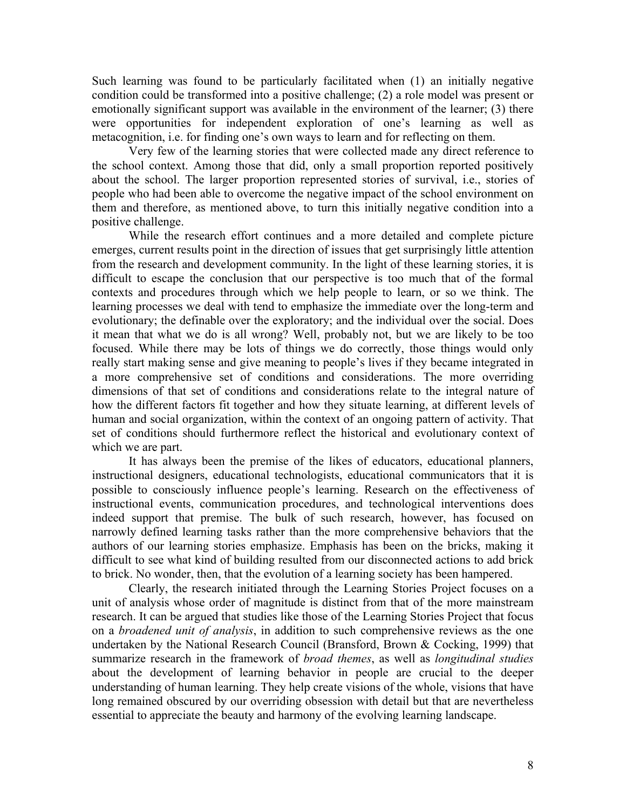Such learning was found to be particularly facilitated when (1) an initially negative condition could be transformed into a positive challenge; (2) a role model was present or emotionally significant support was available in the environment of the learner; (3) there were opportunities for independent exploration of one's learning as well as metacognition, i.e. for finding one's own ways to learn and for reflecting on them.

Very few of the learning stories that were collected made any direct reference to the school context. Among those that did, only a small proportion reported positively about the school. The larger proportion represented stories of survival, i.e., stories of people who had been able to overcome the negative impact of the school environment on them and therefore, as mentioned above, to turn this initially negative condition into a positive challenge.

While the research effort continues and a more detailed and complete picture emerges, current results point in the direction of issues that get surprisingly little attention from the research and development community. In the light of these learning stories, it is difficult to escape the conclusion that our perspective is too much that of the formal contexts and procedures through which we help people to learn, or so we think. The learning processes we deal with tend to emphasize the immediate over the long-term and evolutionary; the definable over the exploratory; and the individual over the social. Does it mean that what we do is all wrong? Well, probably not, but we are likely to be too focused. While there may be lots of things we do correctly, those things would only really start making sense and give meaning to people's lives if they became integrated in a more comprehensive set of conditions and considerations. The more overriding dimensions of that set of conditions and considerations relate to the integral nature of how the different factors fit together and how they situate learning, at different levels of human and social organization, within the context of an ongoing pattern of activity. That set of conditions should furthermore reflect the historical and evolutionary context of which we are part.

It has always been the premise of the likes of educators, educational planners, instructional designers, educational technologists, educational communicators that it is possible to consciously influence people's learning. Research on the effectiveness of instructional events, communication procedures, and technological interventions does indeed support that premise. The bulk of such research, however, has focused on narrowly defined learning tasks rather than the more comprehensive behaviors that the authors of our learning stories emphasize. Emphasis has been on the bricks, making it difficult to see what kind of building resulted from our disconnected actions to add brick to brick. No wonder, then, that the evolution of a learning society has been hampered.

Clearly, the research initiated through the Learning Stories Project focuses on a unit of analysis whose order of magnitude is distinct from that of the more mainstream research. It can be argued that studies like those of the Learning Stories Project that focus on a *broadened unit of analysis*, in addition to such comprehensive reviews as the one undertaken by the National Research Council (Bransford, Brown & Cocking, 1999) that summarize research in the framework of *broad themes*, as well as *longitudinal studies* about the development of learning behavior in people are crucial to the deeper understanding of human learning. They help create visions of the whole, visions that have long remained obscured by our overriding obsession with detail but that are nevertheless essential to appreciate the beauty and harmony of the evolving learning landscape.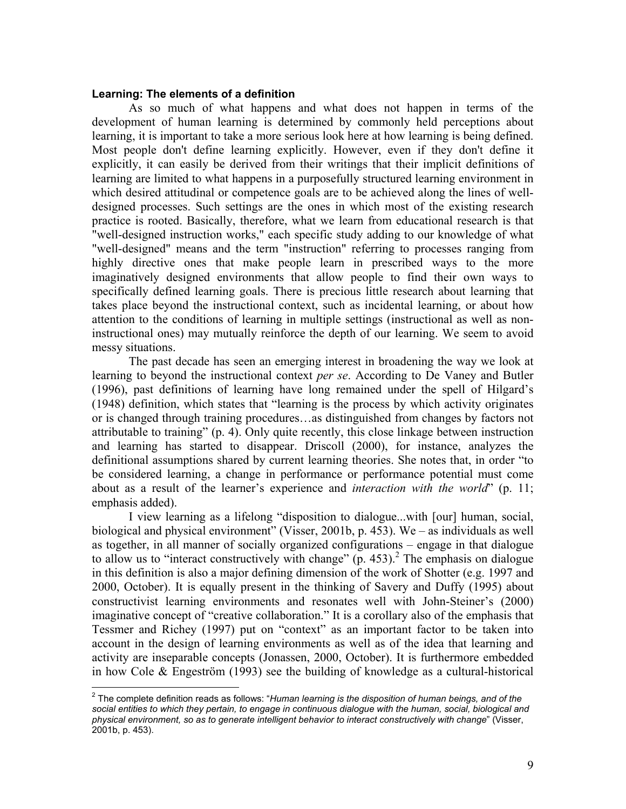#### **Learning: The elements of a definition**

As so much of what happens and what does not happen in terms of the development of human learning is determined by commonly held perceptions about learning, it is important to take a more serious look here at how learning is being defined. Most people don't define learning explicitly. However, even if they don't define it explicitly, it can easily be derived from their writings that their implicit definitions of learning are limited to what happens in a purposefully structured learning environment in which desired attitudinal or competence goals are to be achieved along the lines of welldesigned processes. Such settings are the ones in which most of the existing research practice is rooted. Basically, therefore, what we learn from educational research is that "well-designed instruction works," each specific study adding to our knowledge of what "well-designed" means and the term "instruction" referring to processes ranging from highly directive ones that make people learn in prescribed ways to the more imaginatively designed environments that allow people to find their own ways to specifically defined learning goals. There is precious little research about learning that takes place beyond the instructional context, such as incidental learning, or about how attention to the conditions of learning in multiple settings (instructional as well as noninstructional ones) may mutually reinforce the depth of our learning. We seem to avoid messy situations.

 The past decade has seen an emerging interest in broadening the way we look at learning to beyond the instructional context *per se*. According to De Vaney and Butler (1996), past definitions of learning have long remained under the spell of Hilgard's (1948) definition, which states that "learning is the process by which activity originates or is changed through training procedures…as distinguished from changes by factors not attributable to training" (p. 4). Only quite recently, this close linkage between instruction and learning has started to disappear. Driscoll (2000), for instance, analyzes the definitional assumptions shared by current learning theories. She notes that, in order "to be considered learning, a change in performance or performance potential must come about as a result of the learner's experience and *interaction with the world*" (p. 11; emphasis added).

I view learning as a lifelong "disposition to dialogue...with [our] human, social, biological and physical environment" (Visser, 2001b, p. 453). We – as individuals as well as together, in all manner of socially organized configurations – engage in that dialogue to allow us to "interact constructively with change"  $(p. 453)$ .<sup>2</sup> The emphasis on dialogue in this definition is also a major defining dimension of the work of Shotter (e.g. 1997 and 2000, October). It is equally present in the thinking of Savery and Duffy (1995) about constructivist learning environments and resonates well with John-Steiner's (2000) imaginative concept of "creative collaboration." It is a corollary also of the emphasis that Tessmer and Richey (1997) put on "context" as an important factor to be taken into account in the design of learning environments as well as of the idea that learning and activity are inseparable concepts (Jonassen, 2000, October). It is furthermore embedded in how Cole & Engeström (1993) see the building of knowledge as a cultural-historical

 2 The complete definition reads as follows: "*Human learning is the disposition of human beings, and of the social entities to which they pertain, to engage in continuous dialogue with the human, social, biological and physical environment, so as to generate intelligent behavior to interact constructively with change*" (Visser, 2001b, p. 453).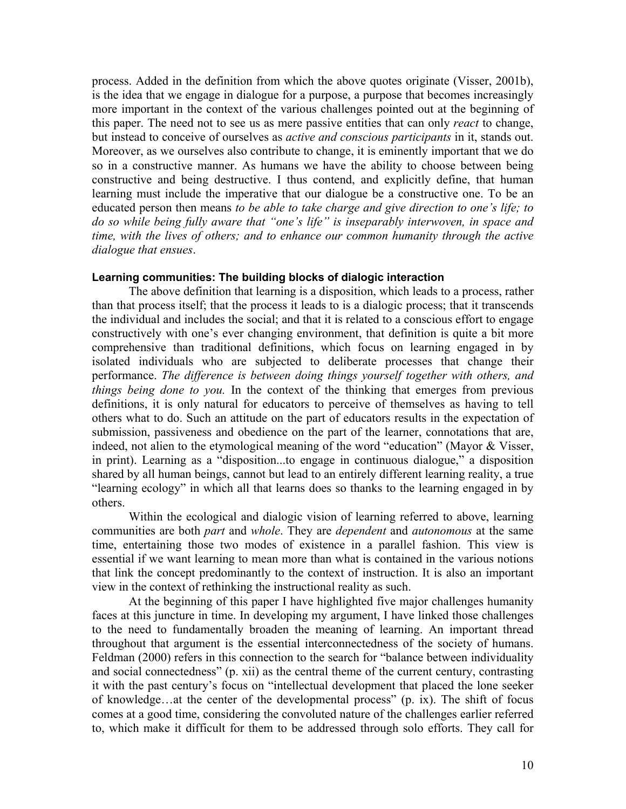process. Added in the definition from which the above quotes originate (Visser, 2001b), is the idea that we engage in dialogue for a purpose, a purpose that becomes increasingly more important in the context of the various challenges pointed out at the beginning of this paper. The need not to see us as mere passive entities that can only *react* to change, but instead to conceive of ourselves as *active and conscious participants* in it, stands out. Moreover, as we ourselves also contribute to change, it is eminently important that we do so in a constructive manner. As humans we have the ability to choose between being constructive and being destructive. I thus contend, and explicitly define, that human learning must include the imperative that our dialogue be a constructive one. To be an educated person then means *to be able to take charge and give direction to one's life; to do so while being fully aware that "one's life" is inseparably interwoven, in space and time, with the lives of others; and to enhance our common humanity through the active dialogue that ensues*.

#### **Learning communities: The building blocks of dialogic interaction**

The above definition that learning is a disposition, which leads to a process, rather than that process itself; that the process it leads to is a dialogic process; that it transcends the individual and includes the social; and that it is related to a conscious effort to engage constructively with one's ever changing environment, that definition is quite a bit more comprehensive than traditional definitions, which focus on learning engaged in by isolated individuals who are subjected to deliberate processes that change their performance. *The difference is between doing things yourself together with others, and things being done to you.* In the context of the thinking that emerges from previous definitions, it is only natural for educators to perceive of themselves as having to tell others what to do. Such an attitude on the part of educators results in the expectation of submission, passiveness and obedience on the part of the learner, connotations that are, indeed, not alien to the etymological meaning of the word "education" (Mayor & Visser, in print). Learning as a "disposition...to engage in continuous dialogue," a disposition shared by all human beings, cannot but lead to an entirely different learning reality, a true "learning ecology" in which all that learns does so thanks to the learning engaged in by others.

Within the ecological and dialogic vision of learning referred to above, learning communities are both *part* and *whole*. They are *dependent* and *autonomous* at the same time, entertaining those two modes of existence in a parallel fashion. This view is essential if we want learning to mean more than what is contained in the various notions that link the concept predominantly to the context of instruction. It is also an important view in the context of rethinking the instructional reality as such.

At the beginning of this paper I have highlighted five major challenges humanity faces at this juncture in time. In developing my argument, I have linked those challenges to the need to fundamentally broaden the meaning of learning. An important thread throughout that argument is the essential interconnectedness of the society of humans. Feldman (2000) refers in this connection to the search for "balance between individuality and social connectedness" (p. xii) as the central theme of the current century, contrasting it with the past century's focus on "intellectual development that placed the lone seeker of knowledge…at the center of the developmental process" (p. ix). The shift of focus comes at a good time, considering the convoluted nature of the challenges earlier referred to, which make it difficult for them to be addressed through solo efforts. They call for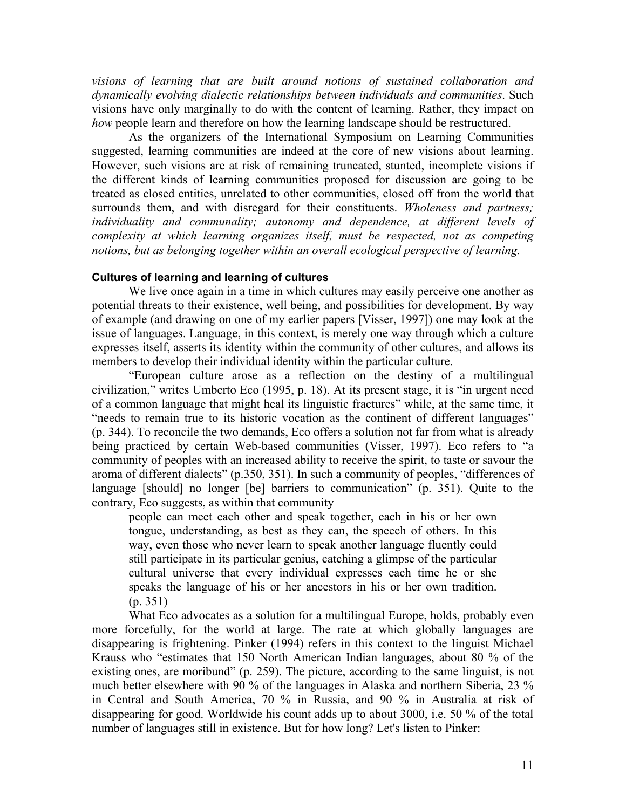*visions of learning that are built around notions of sustained collaboration and dynamically evolving dialectic relationships between individuals and communities*. Such visions have only marginally to do with the content of learning. Rather, they impact on *how* people learn and therefore on how the learning landscape should be restructured.

As the organizers of the International Symposium on Learning Communities suggested, learning communities are indeed at the core of new visions about learning. However, such visions are at risk of remaining truncated, stunted, incomplete visions if the different kinds of learning communities proposed for discussion are going to be treated as closed entities, unrelated to other communities, closed off from the world that surrounds them, and with disregard for their constituents. *Wholeness and partness; individuality and communality; autonomy and dependence, at different levels of complexity at which learning organizes itself, must be respected, not as competing notions, but as belonging together within an overall ecological perspective of learning.*

#### **Cultures of learning and learning of cultures**

 We live once again in a time in which cultures may easily perceive one another as potential threats to their existence, well being, and possibilities for development. By way of example (and drawing on one of my earlier papers [Visser, 1997]) one may look at the issue of languages. Language, in this context, is merely one way through which a culture expresses itself, asserts its identity within the community of other cultures, and allows its members to develop their individual identity within the particular culture.

"European culture arose as a reflection on the destiny of a multilingual civilization," writes Umberto Eco (1995, p. 18). At its present stage, it is "in urgent need of a common language that might heal its linguistic fractures" while, at the same time, it "needs to remain true to its historic vocation as the continent of different languages" (p. 344). To reconcile the two demands, Eco offers a solution not far from what is already being practiced by certain Web-based communities (Visser, 1997). Eco refers to "a community of peoples with an increased ability to receive the spirit, to taste or savour the aroma of different dialects" (p.350, 351). In such a community of peoples, "differences of language [should] no longer [be] barriers to communication" (p. 351). Quite to the contrary, Eco suggests, as within that community

people can meet each other and speak together, each in his or her own tongue, understanding, as best as they can, the speech of others. In this way, even those who never learn to speak another language fluently could still participate in its particular genius, catching a glimpse of the particular cultural universe that every individual expresses each time he or she speaks the language of his or her ancestors in his or her own tradition. (p. 351)

What Eco advocates as a solution for a multilingual Europe, holds, probably even more forcefully, for the world at large. The rate at which globally languages are disappearing is frightening. Pinker (1994) refers in this context to the linguist Michael Krauss who "estimates that 150 North American Indian languages, about 80 % of the existing ones, are moribund" (p. 259). The picture, according to the same linguist, is not much better elsewhere with 90 % of the languages in Alaska and northern Siberia, 23 % in Central and South America, 70 % in Russia, and 90 % in Australia at risk of disappearing for good. Worldwide his count adds up to about 3000, i.e. 50 % of the total number of languages still in existence. But for how long? Let's listen to Pinker: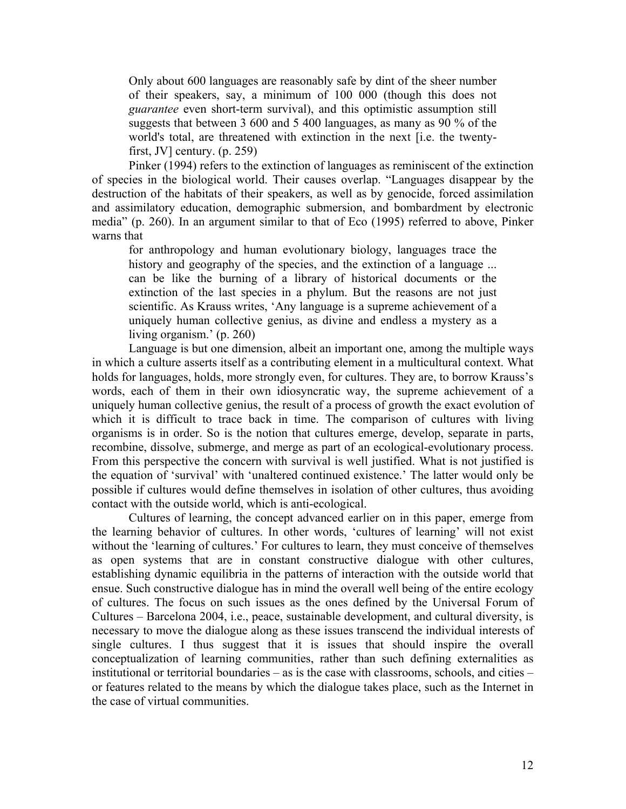Only about 600 languages are reasonably safe by dint of the sheer number of their speakers, say, a minimum of 100 000 (though this does not *guarantee* even short-term survival), and this optimistic assumption still suggests that between 3 600 and 5 400 languages, as many as 90 % of the world's total, are threatened with extinction in the next [i.e. the twentyfirst, JV] century.  $(p. 259)$ 

Pinker (1994) refers to the extinction of languages as reminiscent of the extinction of species in the biological world. Their causes overlap. "Languages disappear by the destruction of the habitats of their speakers, as well as by genocide, forced assimilation and assimilatory education, demographic submersion, and bombardment by electronic media" (p. 260). In an argument similar to that of Eco (1995) referred to above, Pinker warns that

for anthropology and human evolutionary biology, languages trace the history and geography of the species, and the extinction of a language ... can be like the burning of a library of historical documents or the extinction of the last species in a phylum. But the reasons are not just scientific. As Krauss writes, 'Any language is a supreme achievement of a uniquely human collective genius, as divine and endless a mystery as a living organism.' (p. 260)

Language is but one dimension, albeit an important one, among the multiple ways in which a culture asserts itself as a contributing element in a multicultural context. What holds for languages, holds, more strongly even, for cultures. They are, to borrow Krauss's words, each of them in their own idiosyncratic way, the supreme achievement of a uniquely human collective genius, the result of a process of growth the exact evolution of which it is difficult to trace back in time. The comparison of cultures with living organisms is in order. So is the notion that cultures emerge, develop, separate in parts, recombine, dissolve, submerge, and merge as part of an ecological-evolutionary process. From this perspective the concern with survival is well justified. What is not justified is the equation of 'survival' with 'unaltered continued existence.' The latter would only be possible if cultures would define themselves in isolation of other cultures, thus avoiding contact with the outside world, which is anti-ecological.

Cultures of learning, the concept advanced earlier on in this paper, emerge from the learning behavior of cultures. In other words, 'cultures of learning' will not exist without the 'learning of cultures.' For cultures to learn, they must conceive of themselves as open systems that are in constant constructive dialogue with other cultures, establishing dynamic equilibria in the patterns of interaction with the outside world that ensue. Such constructive dialogue has in mind the overall well being of the entire ecology of cultures. The focus on such issues as the ones defined by the Universal Forum of Cultures – Barcelona 2004, i.e., peace, sustainable development, and cultural diversity, is necessary to move the dialogue along as these issues transcend the individual interests of single cultures. I thus suggest that it is issues that should inspire the overall conceptualization of learning communities, rather than such defining externalities as institutional or territorial boundaries – as is the case with classrooms, schools, and cities – or features related to the means by which the dialogue takes place, such as the Internet in the case of virtual communities.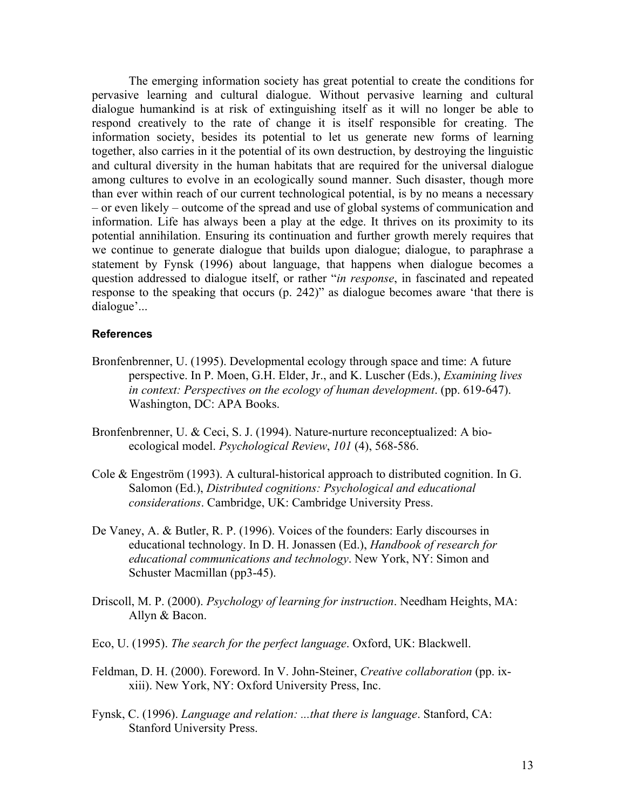The emerging information society has great potential to create the conditions for pervasive learning and cultural dialogue. Without pervasive learning and cultural dialogue humankind is at risk of extinguishing itself as it will no longer be able to respond creatively to the rate of change it is itself responsible for creating. The information society, besides its potential to let us generate new forms of learning together, also carries in it the potential of its own destruction, by destroying the linguistic and cultural diversity in the human habitats that are required for the universal dialogue among cultures to evolve in an ecologically sound manner. Such disaster, though more than ever within reach of our current technological potential, is by no means a necessary – or even likely – outcome of the spread and use of global systems of communication and information. Life has always been a play at the edge. It thrives on its proximity to its potential annihilation. Ensuring its continuation and further growth merely requires that we continue to generate dialogue that builds upon dialogue; dialogue, to paraphrase a statement by Fynsk (1996) about language, that happens when dialogue becomes a question addressed to dialogue itself, or rather "*in response*, in fascinated and repeated response to the speaking that occurs (p. 242)" as dialogue becomes aware 'that there is dialogue'...

#### **References**

- Bronfenbrenner, U. (1995). Developmental ecology through space and time: A future perspective. In P. Moen, G.H. Elder, Jr., and K. Luscher (Eds.), *Examining lives in context: Perspectives on the ecology of human development*. (pp. 619-647). Washington, DC: APA Books.
- Bronfenbrenner, U. & Ceci, S. J. (1994). Nature-nurture reconceptualized: A bioecological model. *Psychological Review*, *101* (4), 568-586.
- Cole & Engeström (1993). A cultural-historical approach to distributed cognition. In G. Salomon (Ed.), *Distributed cognitions: Psychological and educational considerations*. Cambridge, UK: Cambridge University Press.
- De Vaney, A. & Butler, R. P. (1996). Voices of the founders: Early discourses in educational technology. In D. H. Jonassen (Ed.), *Handbook of research for educational communications and technology*. New York, NY: Simon and Schuster Macmillan (pp3-45).
- Driscoll, M. P. (2000). *Psychology of learning for instruction*. Needham Heights, MA: Allyn & Bacon.
- Eco, U. (1995). *The search for the perfect language*. Oxford, UK: Blackwell.
- Feldman, D. H. (2000). Foreword. In V. John-Steiner, *Creative collaboration* (pp. ixxiii). New York, NY: Oxford University Press, Inc.
- Fynsk, C. (1996). *Language and relation: ...that there is language*. Stanford, CA: Stanford University Press.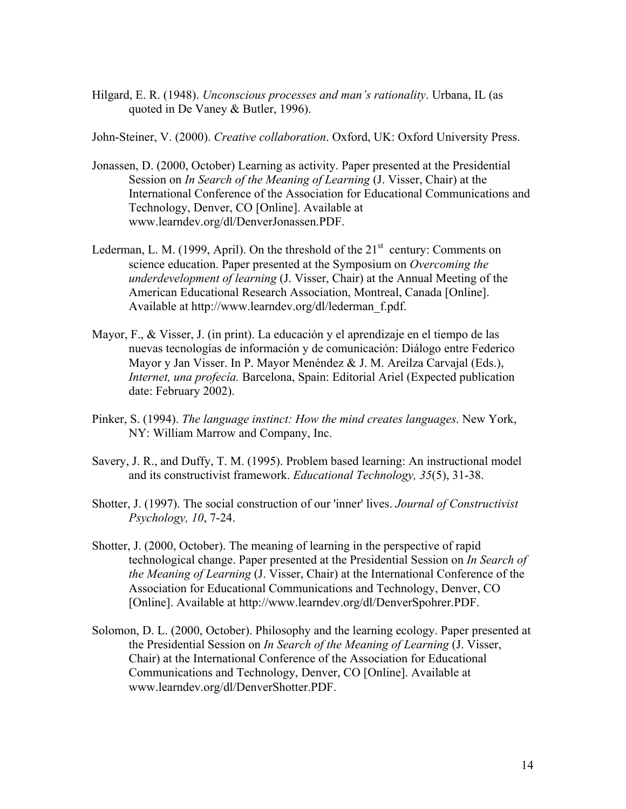Hilgard, E. R. (1948). *Unconscious processes and man's rationality*. Urbana, IL (as quoted in De Vaney & Butler, 1996).

John-Steiner, V. (2000). *Creative collaboration*. Oxford, UK: Oxford University Press.

- Jonassen, D. (2000, October) Learning as activity. Paper presented at the Presidential Session on *In Search of the Meaning of Learning* (J. Visser, Chair) at the International Conference of the Association for Educational Communications and Technology, Denver, CO [Online]. Available at www.learndev.org/dl/DenverJonassen.PDF.
- Lederman, L. M. (1999, April). On the threshold of the  $21<sup>st</sup>$  century: Comments on science education. Paper presented at the Symposium on *Overcoming the underdevelopment of learning* (J. Visser, Chair) at the Annual Meeting of the American Educational Research Association, Montreal, Canada [Online]. Available at http://www.learndev.org/dl/lederman\_f.pdf.
- Mayor, F., & Visser, J. (in print). La educación y el aprendizaje en el tiempo de las nuevas tecnologías de información y de comunicación: Diálogo entre Federico Mayor y Jan Visser. In P. Mayor Menéndez & J. M. Areilza Carvajal (Eds.), *Internet, una profecía.* Barcelona, Spain: Editorial Ariel (Expected publication date: February 2002).
- Pinker, S. (1994). *The language instinct: How the mind creates languages*. New York, NY: William Marrow and Company, Inc.
- Savery, J. R., and Duffy, T. M. (1995). Problem based learning: An instructional model and its constructivist framework. *Educational Technology, 35*(5), 31-38.
- Shotter, J. (1997). The social construction of our 'inner' lives. *Journal of Constructivist Psychology, 10*, 7-24.
- Shotter, J. (2000, October). The meaning of learning in the perspective of rapid technological change. Paper presented at the Presidential Session on *In Search of the Meaning of Learning* (J. Visser, Chair) at the International Conference of the Association for Educational Communications and Technology, Denver, CO [Online]. Available at http://www.learndev.org/dl/DenverSpohrer.PDF.
- Solomon, D. L. (2000, October). Philosophy and the learning ecology. Paper presented at the Presidential Session on *In Search of the Meaning of Learning* (J. Visser, Chair) at the International Conference of the Association for Educational Communications and Technology, Denver, CO [Online]. Available at www.learndev.org/dl/DenverShotter.PDF.